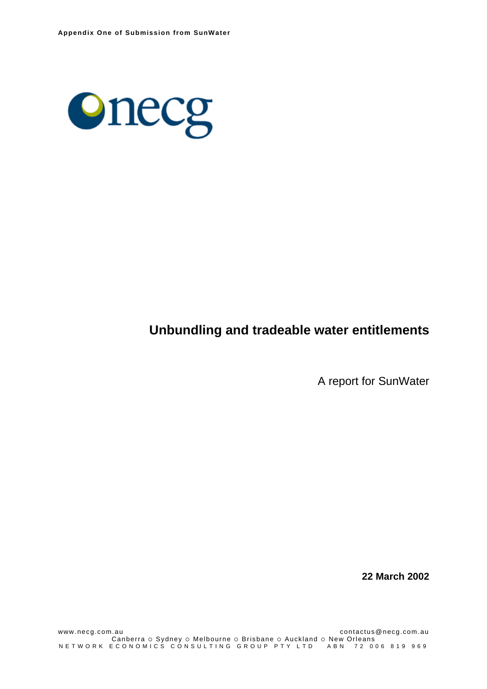

# **Unbundling and tradeable water entitlements**

A report for SunWater

**22 March 2002**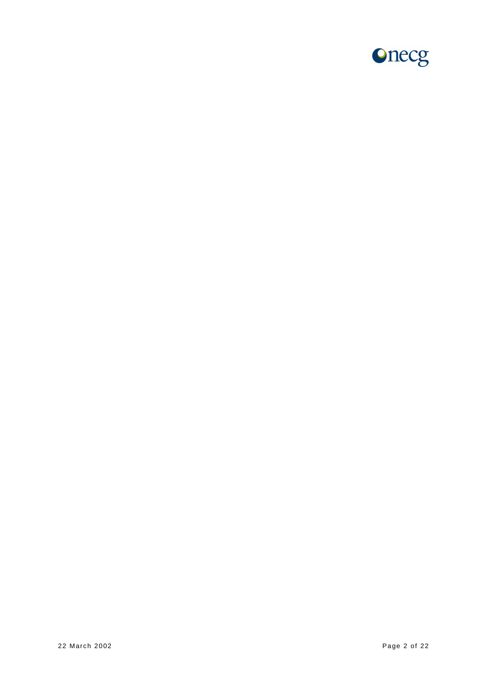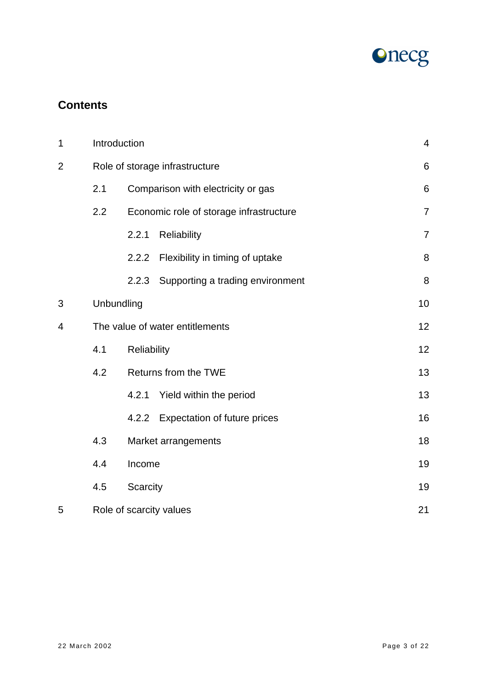

## **Contents**

| 1              |                                 | Introduction                                 |                |  |
|----------------|---------------------------------|----------------------------------------------|----------------|--|
| $\overline{2}$ | Role of storage infrastructure  |                                              | 6              |  |
|                | 2.1                             | Comparison with electricity or gas           |                |  |
|                | 2.2                             | Economic role of storage infrastructure      |                |  |
|                |                                 | 2.2.1<br>Reliability                         | $\overline{7}$ |  |
|                |                                 | 2.2.2<br>Flexibility in timing of uptake     | 8              |  |
|                |                                 | Supporting a trading environment<br>2.2.3    | 8              |  |
| 3              |                                 | Unbundling                                   | 10             |  |
| 4              | The value of water entitlements |                                              | 12             |  |
|                | 4.1                             | Reliability                                  |                |  |
|                | 4.2                             | Returns from the TWE                         | 13             |  |
|                |                                 | 4.2.1<br>Yield within the period             | 13             |  |
|                |                                 | <b>Expectation of future prices</b><br>4.2.2 | 16             |  |
|                | 4.3                             | Market arrangements                          | 18             |  |
|                | 4.4                             | Income                                       | 19             |  |
|                | 4.5                             | <b>Scarcity</b>                              | 19             |  |
| 5              |                                 | Role of scarcity values                      | 21             |  |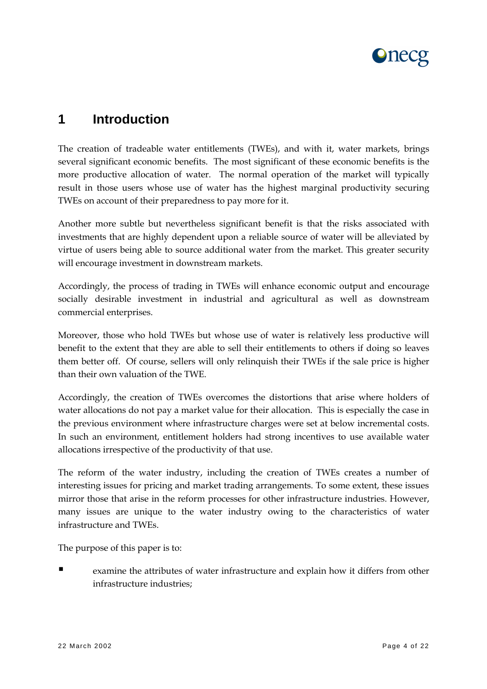

# **1 Introduction**

The creation of tradeable water entitlements (TWEs), and with it, water markets, brings several significant economic benefits. The most significant of these economic benefits is the more productive allocation of water. The normal operation of the market will typically result in those users whose use of water has the highest marginal productivity securing TWEs on account of their preparedness to pay more for it.

Another more subtle but nevertheless significant benefit is that the risks associated with investments that are highly dependent upon a reliable source of water will be alleviated by virtue of users being able to source additional water from the market. This greater security will encourage investment in downstream markets.

Accordingly, the process of trading in TWEs will enhance economic output and encourage socially desirable investment in industrial and agricultural as well as downstream commercial enterprises.

Moreover, those who hold TWEs but whose use of water is relatively less productive will benefit to the extent that they are able to sell their entitlements to others if doing so leaves them better off. Of course, sellers will only relinquish their TWEs if the sale price is higher than their own valuation of the TWE.

Accordingly, the creation of TWEs overcomes the distortions that arise where holders of water allocations do not pay a market value for their allocation. This is especially the case in the previous environment where infrastructure charges were set at below incremental costs. In such an environment, entitlement holders had strong incentives to use available water allocations irrespective of the productivity of that use.

The reform of the water industry, including the creation of TWEs creates a number of interesting issues for pricing and market trading arrangements. To some extent, these issues mirror those that arise in the reform processes for other infrastructure industries. However, many issues are unique to the water industry owing to the characteristics of water infrastructure and TWEs.

The purpose of this paper is to:

■ examine the attributes of water infrastructure and explain how it differs from other infrastructure industries;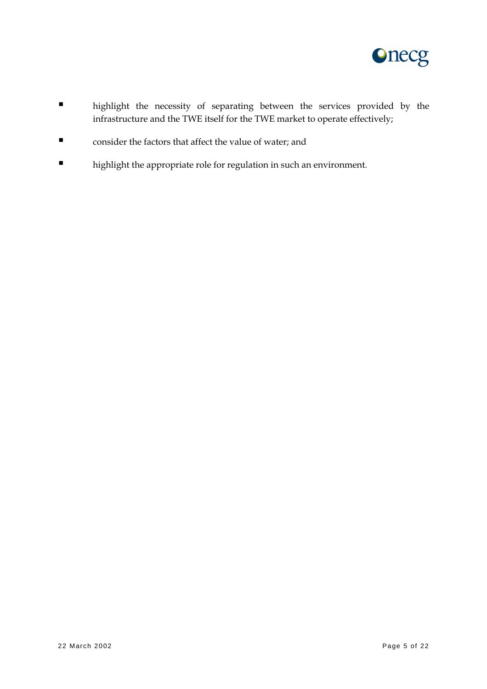

- **In** highlight the necessity of separating between the services provided by the infrastructure and the TWE itself for the TWE market to operate effectively;
- **Exercise 1** consider the factors that affect the value of water; and
- **Example 1** highlight the appropriate role for regulation in such an environment.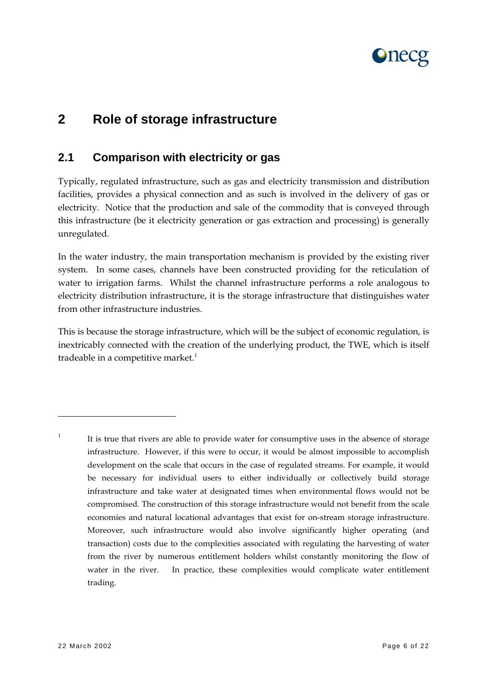

# **2 Role of storage infrastructure**

### **2.1 Comparison with electricity or gas**

Typically, regulated infrastructure, such as gas and electricity transmission and distribution facilities, provides a physical connection and as such is involved in the delivery of gas or electricity. Notice that the production and sale of the commodity that is conveyed through this infrastructure (be it electricity generation or gas extraction and processing) is generally unregulated.

In the water industry, the main transportation mechanism is provided by the existing river system. In some cases, channels have been constructed providing for the reticulation of water to irrigation farms. Whilst the channel infrastructure performs a role analogous to electricity distribution infrastructure, it is the storage infrastructure that distinguishes water from other infrastructure industries.

This is because the storage infrastructure, which will be the subject of economic regulation, is inextricably connected with the creation of the underlying product, the TWE, which is itself tradeable in a competitive market.<sup>1</sup>

<sup>1</sup> It is true that rivers are able to provide water for consumptive uses in the absence of storage infrastructure. However, if this were to occur, it would be almost impossible to accomplish development on the scale that occurs in the case of regulated streams. For example, it would be necessary for individual users to either individually or collectively build storage infrastructure and take water at designated times when environmental flows would not be compromised. The construction of this storage infrastructure would not benefit from the scale economies and natural locational advantages that exist for on-stream storage infrastructure. Moreover, such infrastructure would also involve significantly higher operating (and transaction) costs due to the complexities associated with regulating the harvesting of water from the river by numerous entitlement holders whilst constantly monitoring the flow of water in the river. In practice, these complexities would complicate water entitlement trading.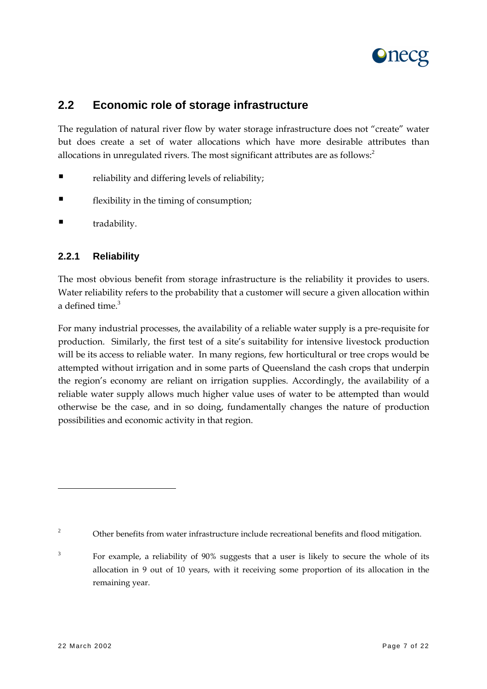

### **2.2 Economic role of storage infrastructure**

The regulation of natural river flow by water storage infrastructure does not "create" water but does create a set of water allocations which have more desirable attributes than allocations in unregulated rivers. The most significant attributes are as follows:<sup>2</sup>

- ß reliability and differing levels of reliability;
- flexibility in the timing of consumption;
- tradability.

### **2.2.1 Reliability**

The most obvious benefit from storage infrastructure is the reliability it provides to users. Water reliability refers to the probability that a customer will secure a given allocation within a defined time. $3$ 

For many industrial processes, the availability of a reliable water supply is a pre-requisite for production. Similarly, the first test of a site's suitability for intensive livestock production will be its access to reliable water. In many regions, few horticultural or tree crops would be attempted without irrigation and in some parts of Queensland the cash crops that underpin the region's economy are reliant on irrigation supplies. Accordingly, the availability of a reliable water supply allows much higher value uses of water to be attempted than would otherwise be the case, and in so doing, fundamentally changes the nature of production possibilities and economic activity in that region.

<sup>&</sup>lt;sup>2</sup> Other benefits from water infrastructure include recreational benefits and flood mitigation.

<sup>3</sup> For example, a reliability of 90% suggests that a user is likely to secure the whole of its allocation in 9 out of 10 years, with it receiving some proportion of its allocation in the remaining year.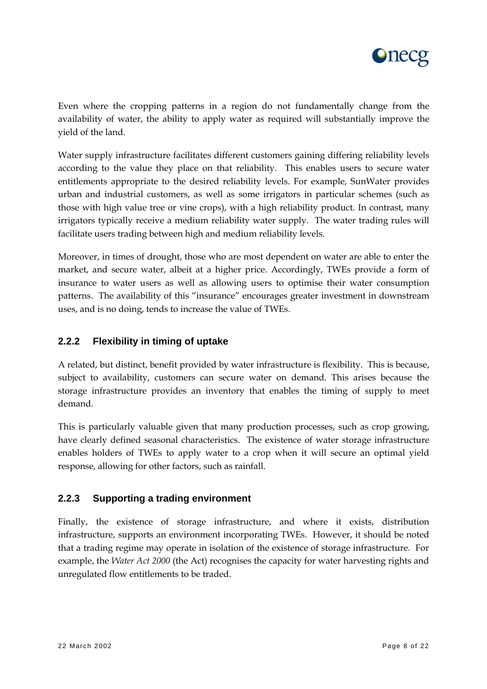

Even where the cropping patterns in a region do not fundamentally change from the availability of water, the ability to apply water as required will substantially improve the yield of the land.

Water supply infrastructure facilitates different customers gaining differing reliability levels according to the value they place on that reliability. This enables users to secure water entitlements appropriate to the desired reliability levels. For example, SunWater provides urban and industrial customers, as well as some irrigators in particular schemes (such as those with high value tree or vine crops), with a high reliability product. In contrast, many irrigators typically receive a medium reliability water supply. The water trading rules will facilitate users trading between high and medium reliability levels.

Moreover, in times of drought, those who are most dependent on water are able to enter the market, and secure water, albeit at a higher price. Accordingly, TWEs provide a form of insurance to water users as well as allowing users to optimise their water consumption patterns. The availability of this "insurance" encourages greater investment in downstream uses, and is no doing, tends to increase the value of TWEs.

#### **2.2.2 Flexibility in timing of uptake**

A related, but distinct, benefit provided by water infrastructure is flexibility. This is because, subject to availability, customers can secure water on demand. This arises because the storage infrastructure provides an inventory that enables the timing of supply to meet demand.

This is particularly valuable given that many production processes, such as crop growing, have clearly defined seasonal characteristics. The existence of water storage infrastructure enables holders of TWEs to apply water to a crop when it will secure an optimal yield response, allowing for other factors, such as rainfall.

#### **2.2.3 Supporting a trading environment**

Finally, the existence of storage infrastructure, and where it exists, distribution infrastructure, supports an environment incorporating TWEs. However, it should be noted that a trading regime may operate in isolation of the existence of storage infrastructure. For example, the *Water Act 2000* (the Act) recognises the capacity for water harvesting rights and unregulated flow entitlements to be traded.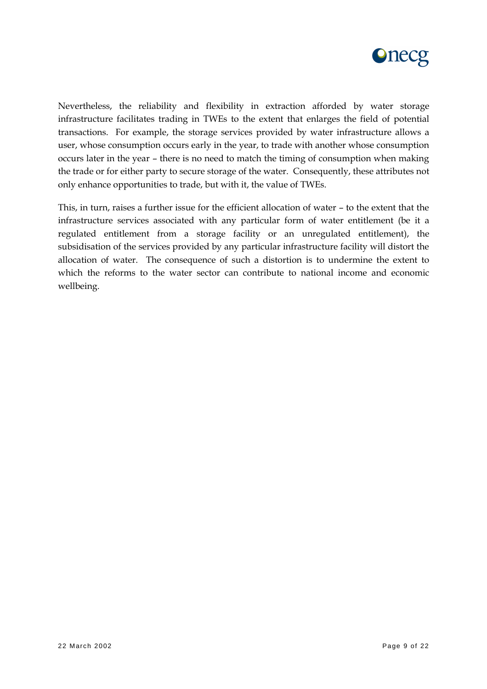

Nevertheless, the reliability and flexibility in extraction afforded by water storage infrastructure facilitates trading in TWEs to the extent that enlarges the field of potential transactions. For example, the storage services provided by water infrastructure allows a user, whose consumption occurs early in the year, to trade with another whose consumption occurs later in the year – there is no need to match the timing of consumption when making the trade or for either party to secure storage of the water. Consequently, these attributes not only enhance opportunities to trade, but with it, the value of TWEs.

This, in turn, raises a further issue for the efficient allocation of water – to the extent that the infrastructure services associated with any particular form of water entitlement (be it a regulated entitlement from a storage facility or an unregulated entitlement), the subsidisation of the services provided by any particular infrastructure facility will distort the allocation of water. The consequence of such a distortion is to undermine the extent to which the reforms to the water sector can contribute to national income and economic wellbeing.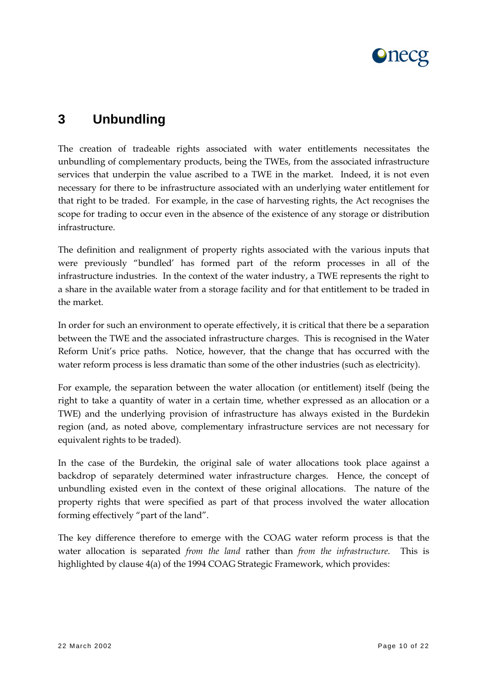

# **3 Unbundling**

The creation of tradeable rights associated with water entitlements necessitates the unbundling of complementary products, being the TWEs, from the associated infrastructure services that underpin the value ascribed to a TWE in the market. Indeed, it is not even necessary for there to be infrastructure associated with an underlying water entitlement for that right to be traded. For example, in the case of harvesting rights, the Act recognises the scope for trading to occur even in the absence of the existence of any storage or distribution infrastructure.

The definition and realignment of property rights associated with the various inputs that were previously "bundled' has formed part of the reform processes in all of the infrastructure industries. In the context of the water industry, a TWE represents the right to a share in the available water from a storage facility and for that entitlement to be traded in the market.

In order for such an environment to operate effectively, it is critical that there be a separation between the TWE and the associated infrastructure charges. This is recognised in the Water Reform Unit's price paths. Notice, however, that the change that has occurred with the water reform process is less dramatic than some of the other industries (such as electricity).

For example, the separation between the water allocation (or entitlement) itself (being the right to take a quantity of water in a certain time, whether expressed as an allocation or a TWE) and the underlying provision of infrastructure has always existed in the Burdekin region (and, as noted above, complementary infrastructure services are not necessary for equivalent rights to be traded).

In the case of the Burdekin, the original sale of water allocations took place against a backdrop of separately determined water infrastructure charges. Hence, the concept of unbundling existed even in the context of these original allocations. The nature of the property rights that were specified as part of that process involved the water allocation forming effectively "part of the land".

The key difference therefore to emerge with the COAG water reform process is that the water allocation is separated *from the land* rather than *from the infrastructure*. This is highlighted by clause 4(a) of the 1994 COAG Strategic Framework, which provides: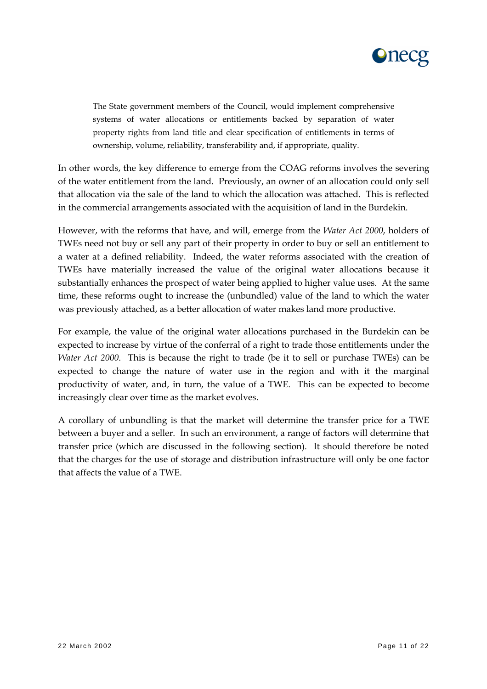

The State government members of the Council, would implement comprehensive systems of water allocations or entitlements backed by separation of water property rights from land title and clear specification of entitlements in terms of ownership, volume, reliability, transferability and, if appropriate, quality.

In other words, the key difference to emerge from the COAG reforms involves the severing of the water entitlement from the land. Previously, an owner of an allocation could only sell that allocation via the sale of the land to which the allocation was attached. This is reflected in the commercial arrangements associated with the acquisition of land in the Burdekin.

However, with the reforms that have, and will, emerge from the *Water Act 2000*, holders of TWEs need not buy or sell any part of their property in order to buy or sell an entitlement to a water at a defined reliability. Indeed, the water reforms associated with the creation of TWEs have materially increased the value of the original water allocations because it substantially enhances the prospect of water being applied to higher value uses. At the same time, these reforms ought to increase the (unbundled) value of the land to which the water was previously attached, as a better allocation of water makes land more productive.

For example, the value of the original water allocations purchased in the Burdekin can be expected to increase by virtue of the conferral of a right to trade those entitlements under the *Water Act 2000*. This is because the right to trade (be it to sell or purchase TWEs) can be expected to change the nature of water use in the region and with it the marginal productivity of water, and, in turn, the value of a TWE. This can be expected to become increasingly clear over time as the market evolves.

A corollary of unbundling is that the market will determine the transfer price for a TWE between a buyer and a seller. In such an environment, a range of factors will determine that transfer price (which are discussed in the following section). It should therefore be noted that the charges for the use of storage and distribution infrastructure will only be one factor that affects the value of a TWE.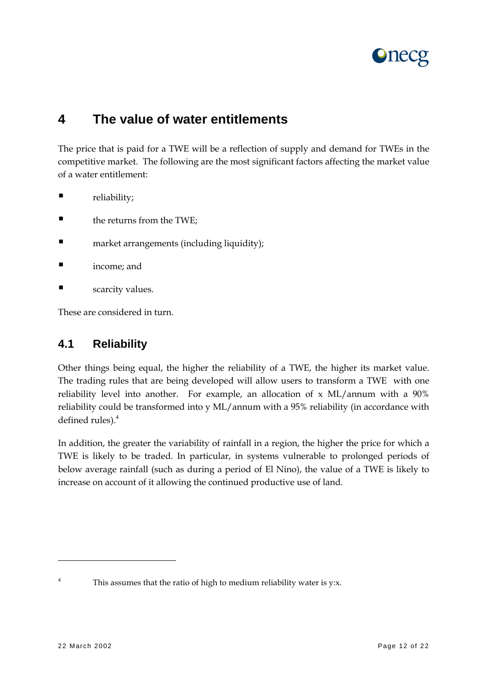

## **4 The value of water entitlements**

The price that is paid for a TWE will be a reflection of supply and demand for TWEs in the competitive market. The following are the most significant factors affecting the market value of a water entitlement:

- reliability:
- $\blacksquare$  the returns from the TWE;
- market arrangements (including liquidity);
- income: and
- scarcity values.

These are considered in turn.

### **4.1 Reliability**

Other things being equal, the higher the reliability of a TWE, the higher its market value. The trading rules that are being developed will allow users to transform a TWE with one reliability level into another. For example, an allocation of x ML/annum with a 90% reliability could be transformed into y ML/annum with a 95% reliability (in accordance with defined rules).<sup>4</sup>

In addition, the greater the variability of rainfall in a region, the higher the price for which a TWE is likely to be traded. In particular, in systems vulnerable to prolonged periods of below average rainfall (such as during a period of El Nino), the value of a TWE is likely to increase on account of it allowing the continued productive use of land.

<sup>&</sup>lt;sup>4</sup> This assumes that the ratio of high to medium reliability water is y:x.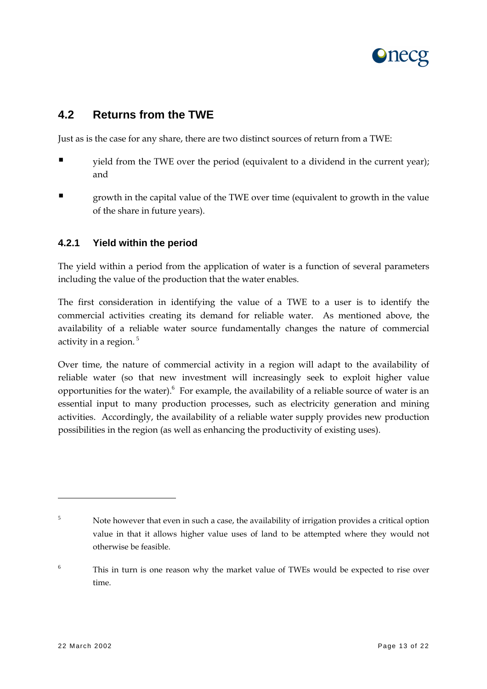

## **4.2 Returns from the TWE**

Just as is the case for any share, there are two distinct sources of return from a TWE:

- ß yield from the TWE over the period (equivalent to a dividend in the current year); and
- ß growth in the capital value of the TWE over time (equivalent to growth in the value of the share in future years).

#### **4.2.1 Yield within the period**

The yield within a period from the application of water is a function of several parameters including the value of the production that the water enables.

The first consideration in identifying the value of a TWE to a user is to identify the commercial activities creating its demand for reliable water. As mentioned above, the availability of a reliable water source fundamentally changes the nature of commercial activity in a region.<sup>5</sup>

Over time, the nature of commercial activity in a region will adapt to the availability of reliable water (so that new investment will increasingly seek to exploit higher value opportunities for the water). $6$  For example, the availability of a reliable source of water is an essential input to many production processes, such as electricity generation and mining activities. Accordingly, the availability of a reliable water supply provides new production possibilities in the region (as well as enhancing the productivity of existing uses).

<sup>&</sup>lt;sup>5</sup> Note however that even in such a case, the availability of irrigation provides a critical option value in that it allows higher value uses of land to be attempted where they would not otherwise be feasible.

<sup>&</sup>lt;sup>6</sup> This in turn is one reason why the market value of TWEs would be expected to rise over time.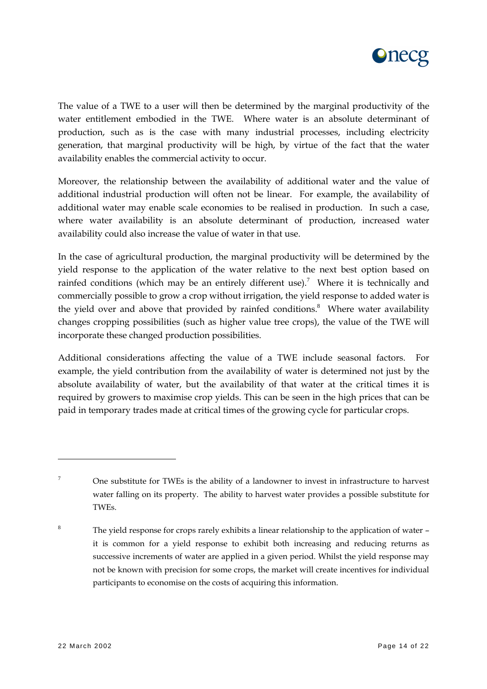

The value of a TWE to a user will then be determined by the marginal productivity of the water entitlement embodied in the TWE. Where water is an absolute determinant of production, such as is the case with many industrial processes, including electricity generation, that marginal productivity will be high, by virtue of the fact that the water availability enables the commercial activity to occur.

Moreover, the relationship between the availability of additional water and the value of additional industrial production will often not be linear. For example, the availability of additional water may enable scale economies to be realised in production. In such a case, where water availability is an absolute determinant of production, increased water availability could also increase the value of water in that use.

In the case of agricultural production, the marginal productivity will be determined by the yield response to the application of the water relative to the next best option based on rainfed conditions (which may be an entirely different use).<sup>7</sup> Where it is technically and commercially possible to grow a crop without irrigation, the yield response to added water is the yield over and above that provided by rainfed conditions.<sup>8</sup> Where water availability changes cropping possibilities (such as higher value tree crops), the value of the TWE will incorporate these changed production possibilities.

Additional considerations affecting the value of a TWE include seasonal factors. For example, the yield contribution from the availability of water is determined not just by the absolute availability of water, but the availability of that water at the critical times it is required by growers to maximise crop yields. This can be seen in the high prices that can be paid in temporary trades made at critical times of the growing cycle for particular crops.

 $\ddot{\phantom{a}}$ 

 $7 \t\t One substitute for TWEs is the ability of a landowner to invest in infrastructure to harvest$ water falling on its property. The ability to harvest water provides a possible substitute for TWEs.

<sup>&</sup>lt;sup>8</sup> The yield response for crops rarely exhibits a linear relationship to the application of water – it is common for a yield response to exhibit both increasing and reducing returns as successive increments of water are applied in a given period. Whilst the yield response may not be known with precision for some crops, the market will create incentives for individual participants to economise on the costs of acquiring this information.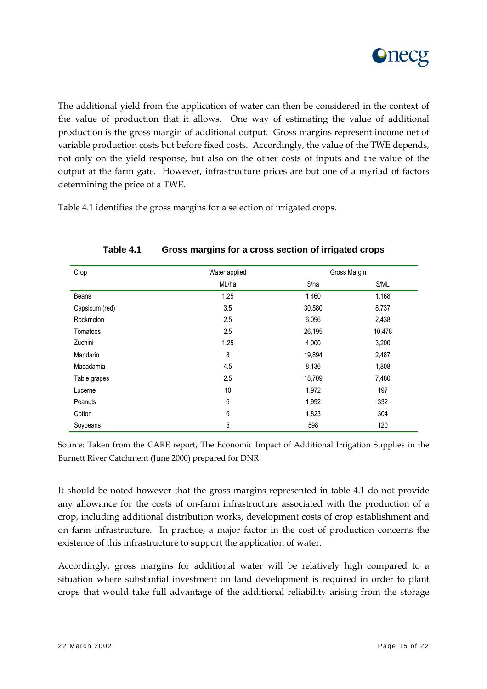

The additional yield from the application of water can then be considered in the context of the value of production that it allows. One way of estimating the value of additional production is the gross margin of additional output. Gross margins represent income net of variable production costs but before fixed costs. Accordingly, the value of the TWE depends, not only on the yield response, but also on the other costs of inputs and the value of the output at the farm gate. However, infrastructure prices are but one of a myriad of factors determining the price of a TWE.

Table 4.1 identifies the gross margins for a selection of irrigated crops.

| Crop           | Water applied | Gross Margin |        |
|----------------|---------------|--------------|--------|
|                | ML/ha         | \$/ha        | \$/ML  |
| Beans          | 1.25          | 1,460        | 1,168  |
| Capsicum (red) | 3.5           | 30,580       | 8,737  |
| Rockmelon      | 2.5           | 6,096        | 2,438  |
| Tomatoes       | 2.5           | 26,195       | 10,478 |
| Zuchini        | 1.25          | 4,000        | 3,200  |
| Mandarin       | 8             | 19,894       | 2,487  |
| Macadamia      | 4.5           | 8,136        | 1,808  |
| Table grapes   | 2.5           | 18,709       | 7,480  |
| Lucerne        | 10            | 1,972        | 197    |
| Peanuts        | 6             | 1,992        | 332    |
| Cotton         | 6             | 1,823        | 304    |
| Soybeans       | 5             | 598          | 120    |

#### **Table 4.1 Gross margins for a cross section of irrigated crops**

Source: Taken from the CARE report, The Economic Impact of Additional Irrigation Supplies in the Burnett River Catchment (June 2000) prepared for DNR

It should be noted however that the gross margins represented in table 4.1 do not provide any allowance for the costs of on-farm infrastructure associated with the production of a crop, including additional distribution works, development costs of crop establishment and on farm infrastructure. In practice, a major factor in the cost of production concerns the existence of this infrastructure to support the application of water.

Accordingly, gross margins for additional water will be relatively high compared to a situation where substantial investment on land development is required in order to plant crops that would take full advantage of the additional reliability arising from the storage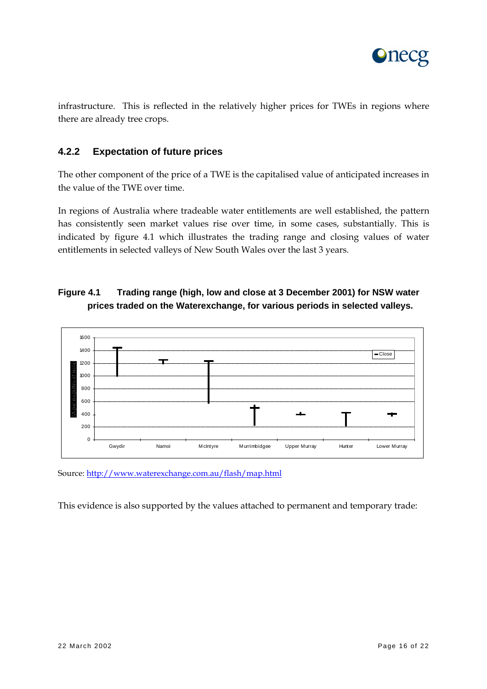

infrastructure. This is reflected in the relatively higher prices for TWEs in regions where there are already tree crops.

#### **4.2.2 Expectation of future prices**

The other component of the price of a TWE is the capitalised value of anticipated increases in the value of the TWE over time.

In regions of Australia where tradeable water entitlements are well established, the pattern has consistently seen market values rise over time, in some cases, substantially. This is indicated by figure 4.1 which illustrates the trading range and closing values of water entitlements in selected valleys of New South Wales over the last 3 years.

### **Figure 4.1 Trading range (high, low and close at 3 December 2001) for NSW water prices traded on the Waterexchange, for various periods in selected valleys.**



Source: http://www.waterexchange.com.au/flash/map.html

This evidence is also supported by the values attached to permanent and temporary trade: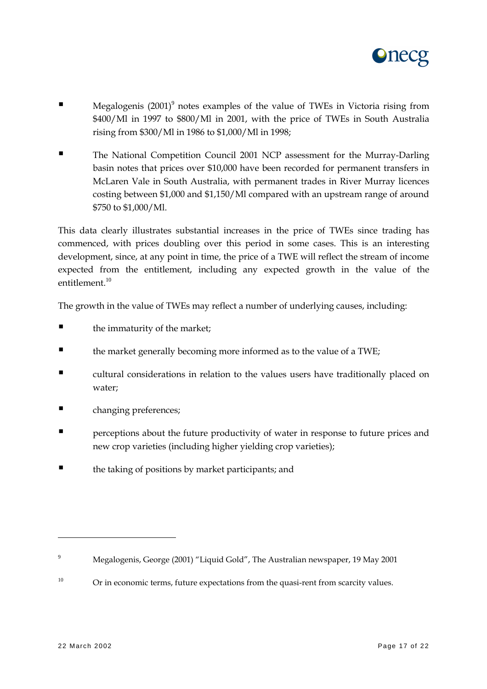

- Megalogenis  $(2001)^9$  notes examples of the value of TWEs in Victoria rising from \$400/Ml in 1997 to \$800/Ml in 2001, with the price of TWEs in South Australia rising from \$300/Ml in 1986 to \$1,000/Ml in 1998;
- ß The National Competition Council 2001 NCP assessment for the Murray-Darling basin notes that prices over \$10,000 have been recorded for permanent transfers in McLaren Vale in South Australia, with permanent trades in River Murray licences costing between \$1,000 and \$1,150/Ml compared with an upstream range of around \$750 to \$1,000/Ml.

This data clearly illustrates substantial increases in the price of TWEs since trading has commenced, with prices doubling over this period in some cases. This is an interesting development, since, at any point in time, the price of a TWE will reflect the stream of income expected from the entitlement, including any expected growth in the value of the entitlement.<sup>10</sup>

The growth in the value of TWEs may reflect a number of underlying causes, including:

- the immaturity of the market;
- ß the market generally becoming more informed as to the value of a TWE;
- ß cultural considerations in relation to the values users have traditionally placed on water;
- changing preferences;
- ß perceptions about the future productivity of water in response to future prices and new crop varieties (including higher yielding crop varieties);
- $\blacksquare$  the taking of positions by market participants; and

<sup>9</sup> Megalogenis, George (2001) "Liquid Gold", The Australian newspaper, 19 May 2001

<sup>10</sup> Or in economic terms, future expectations from the quasi-rent from scarcity values.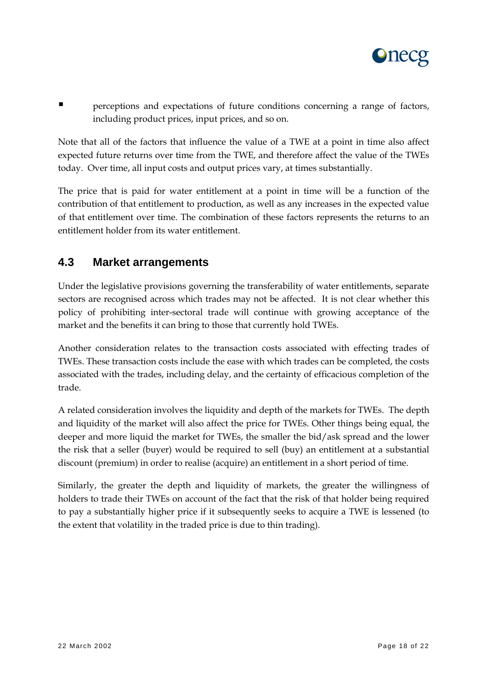

ß perceptions and expectations of future conditions concerning a range of factors, including product prices, input prices, and so on.

Note that all of the factors that influence the value of a TWE at a point in time also affect expected future returns over time from the TWE, and therefore affect the value of the TWEs today. Over time, all input costs and output prices vary, at times substantially.

The price that is paid for water entitlement at a point in time will be a function of the contribution of that entitlement to production, as well as any increases in the expected value of that entitlement over time. The combination of these factors represents the returns to an entitlement holder from its water entitlement.

### **4.3 Market arrangements**

Under the legislative provisions governing the transferability of water entitlements, separate sectors are recognised across which trades may not be affected. It is not clear whether this policy of prohibiting inter-sectoral trade will continue with growing acceptance of the market and the benefits it can bring to those that currently hold TWEs.

Another consideration relates to the transaction costs associated with effecting trades of TWEs. These transaction costs include the ease with which trades can be completed, the costs associated with the trades, including delay, and the certainty of efficacious completion of the trade.

A related consideration involves the liquidity and depth of the markets for TWEs. The depth and liquidity of the market will also affect the price for TWEs. Other things being equal, the deeper and more liquid the market for TWEs, the smaller the bid/ask spread and the lower the risk that a seller (buyer) would be required to sell (buy) an entitlement at a substantial discount (premium) in order to realise (acquire) an entitlement in a short period of time.

Similarly, the greater the depth and liquidity of markets, the greater the willingness of holders to trade their TWEs on account of the fact that the risk of that holder being required to pay a substantially higher price if it subsequently seeks to acquire a TWE is lessened (to the extent that volatility in the traded price is due to thin trading).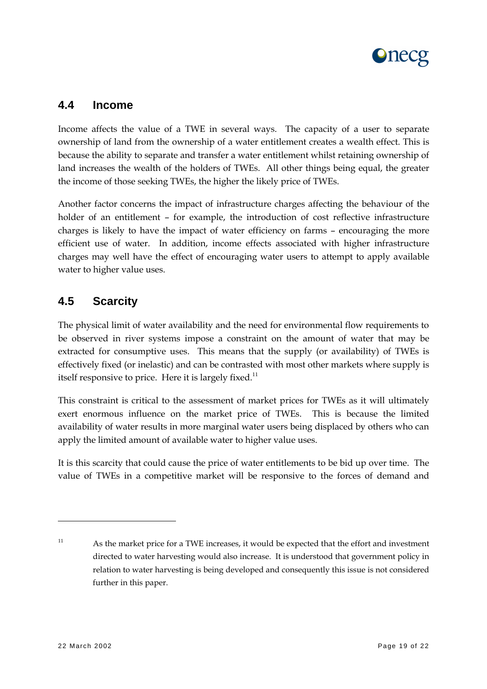

### **4.4 Income**

Income affects the value of a TWE in several ways. The capacity of a user to separate ownership of land from the ownership of a water entitlement creates a wealth effect. This is because the ability to separate and transfer a water entitlement whilst retaining ownership of land increases the wealth of the holders of TWEs. All other things being equal, the greater the income of those seeking TWEs, the higher the likely price of TWEs.

Another factor concerns the impact of infrastructure charges affecting the behaviour of the holder of an entitlement – for example, the introduction of cost reflective infrastructure charges is likely to have the impact of water efficiency on farms – encouraging the more efficient use of water. In addition, income effects associated with higher infrastructure charges may well have the effect of encouraging water users to attempt to apply available water to higher value uses.

## **4.5 Scarcity**

The physical limit of water availability and the need for environmental flow requirements to be observed in river systems impose a constraint on the amount of water that may be extracted for consumptive uses. This means that the supply (or availability) of TWEs is effectively fixed (or inelastic) and can be contrasted with most other markets where supply is itself responsive to price. Here it is largely fixed.<sup>11</sup>

This constraint is critical to the assessment of market prices for TWEs as it will ultimately exert enormous influence on the market price of TWEs. This is because the limited availability of water results in more marginal water users being displaced by others who can apply the limited amount of available water to higher value uses.

It is this scarcity that could cause the price of water entitlements to be bid up over time. The value of TWEs in a competitive market will be responsive to the forces of demand and

<sup>&</sup>lt;sup>11</sup> As the market price for a TWE increases, it would be expected that the effort and investment directed to water harvesting would also increase. It is understood that government policy in relation to water harvesting is being developed and consequently this issue is not considered further in this paper.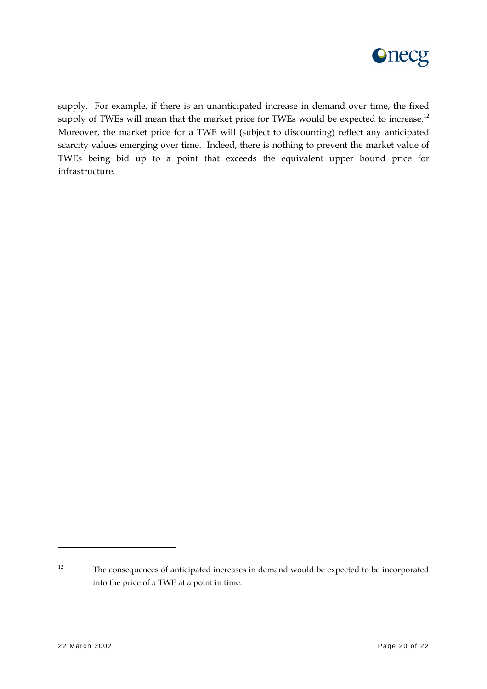

supply. For example, if there is an unanticipated increase in demand over time, the fixed supply of TWEs will mean that the market price for TWEs would be expected to increase.<sup>12</sup> Moreover, the market price for a TWE will (subject to discounting) reflect any anticipated scarcity values emerging over time. Indeed, there is nothing to prevent the market value of TWEs being bid up to a point that exceeds the equivalent upper bound price for infrastructure.

<sup>&</sup>lt;sup>12</sup> The consequences of anticipated increases in demand would be expected to be incorporated into the price of a TWE at a point in time.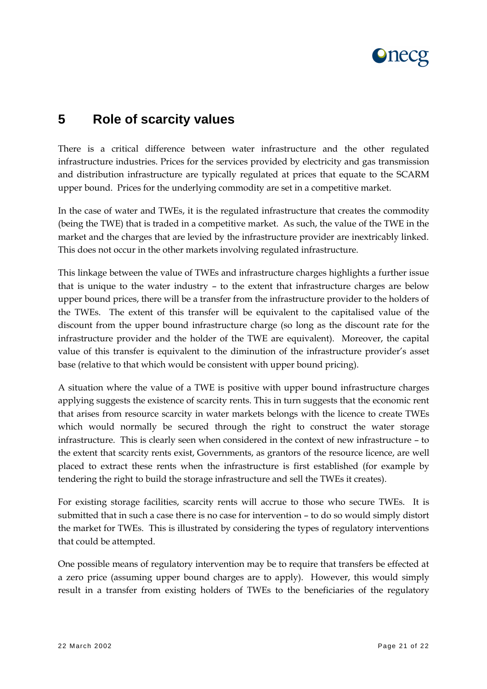

# **5 Role of scarcity values**

There is a critical difference between water infrastructure and the other regulated infrastructure industries. Prices for the services provided by electricity and gas transmission and distribution infrastructure are typically regulated at prices that equate to the SCARM upper bound. Prices for the underlying commodity are set in a competitive market.

In the case of water and TWEs, it is the regulated infrastructure that creates the commodity (being the TWE) that is traded in a competitive market. As such, the value of the TWE in the market and the charges that are levied by the infrastructure provider are inextricably linked. This does not occur in the other markets involving regulated infrastructure.

This linkage between the value of TWEs and infrastructure charges highlights a further issue that is unique to the water industry – to the extent that infrastructure charges are below upper bound prices, there will be a transfer from the infrastructure provider to the holders of the TWEs. The extent of this transfer will be equivalent to the capitalised value of the discount from the upper bound infrastructure charge (so long as the discount rate for the infrastructure provider and the holder of the TWE are equivalent). Moreover, the capital value of this transfer is equivalent to the diminution of the infrastructure provider's asset base (relative to that which would be consistent with upper bound pricing).

A situation where the value of a TWE is positive with upper bound infrastructure charges applying suggests the existence of scarcity rents. This in turn suggests that the economic rent that arises from resource scarcity in water markets belongs with the licence to create TWEs which would normally be secured through the right to construct the water storage infrastructure. This is clearly seen when considered in the context of new infrastructure – to the extent that scarcity rents exist, Governments, as grantors of the resource licence, are well placed to extract these rents when the infrastructure is first established (for example by tendering the right to build the storage infrastructure and sell the TWEs it creates).

For existing storage facilities, scarcity rents will accrue to those who secure TWEs. It is submitted that in such a case there is no case for intervention – to do so would simply distort the market for TWEs. This is illustrated by considering the types of regulatory interventions that could be attempted.

One possible means of regulatory intervention may be to require that transfers be effected at a zero price (assuming upper bound charges are to apply). However, this would simply result in a transfer from existing holders of TWEs to the beneficiaries of the regulatory